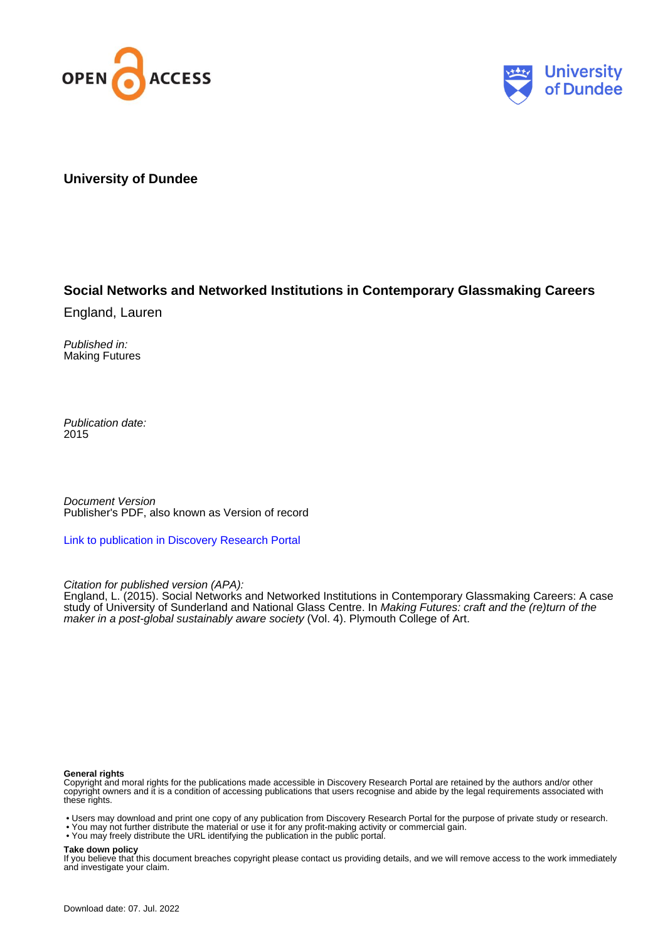



## **University of Dundee**

# **Social Networks and Networked Institutions in Contemporary Glassmaking Careers**

England, Lauren

Published in: Making Futures

Publication date: 2015

Document Version Publisher's PDF, also known as Version of record

[Link to publication in Discovery Research Portal](https://discovery.dundee.ac.uk/en/publications/c0acecb1-6a9e-411b-9eb8-f1ec6ec3b486)

Citation for published version (APA):

England, L. (2015). Social Networks and Networked Institutions in Contemporary Glassmaking Careers: A case study of University of Sunderland and National Glass Centre. In Making Futures: craft and the (re)turn of the maker in a post-global sustainably aware society (Vol. 4). Plymouth College of Art.

#### **General rights**

Copyright and moral rights for the publications made accessible in Discovery Research Portal are retained by the authors and/or other copyright owners and it is a condition of accessing publications that users recognise and abide by the legal requirements associated with these rights.

- Users may download and print one copy of any publication from Discovery Research Portal for the purpose of private study or research.
- You may not further distribute the material or use it for any profit-making activity or commercial gain.
- You may freely distribute the URL identifying the publication in the public portal.

#### **Take down policy**

If you believe that this document breaches copyright please contact us providing details, and we will remove access to the work immediately and investigate your claim.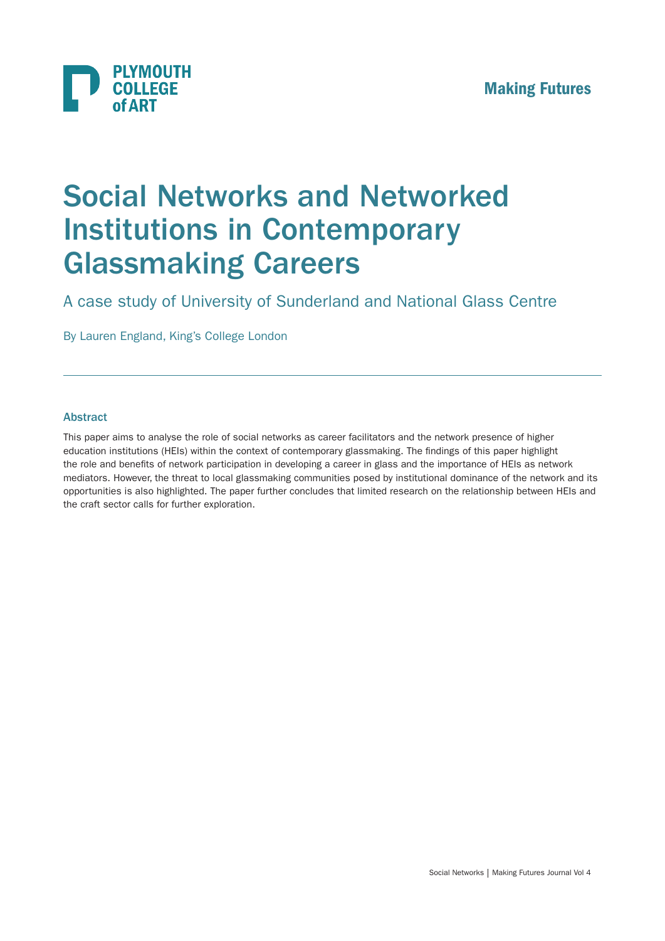

# Social Networks and Networked Institutions in Contemporary Glassmaking Careers

A case study of University of Sunderland and National Glass Centre

By Lauren England, King's College London

## Abstract

This paper aims to analyse the role of social networks as career facilitators and the network presence of higher education institutions (HEIs) within the context of contemporary glassmaking. The findings of this paper highlight the role and benefits of network participation in developing a career in glass and the importance of HEIs as network mediators. However, the threat to local glassmaking communities posed by institutional dominance of the network and its opportunities is also highlighted. The paper further concludes that limited research on the relationship between HEIs and the craft sector calls for further exploration.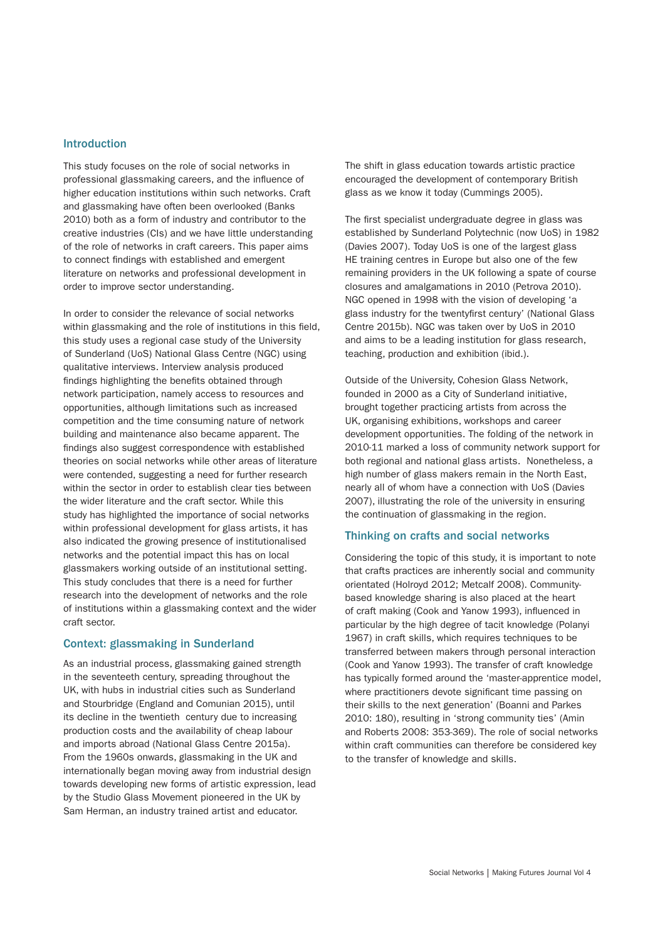#### Introduction

This study focuses on the role of social networks in professional glassmaking careers, and the influence of higher education institutions within such networks. Craft and glassmaking have often been overlooked (Banks 2010) both as a form of industry and contributor to the creative industries (CIs) and we have little understanding of the role of networks in craft careers. This paper aims to connect findings with established and emergent literature on networks and professional development in order to improve sector understanding.

In order to consider the relevance of social networks within glassmaking and the role of institutions in this field. this study uses a regional case study of the University of Sunderland (UoS) National Glass Centre (NGC) using qualitative interviews. Interview analysis produced findings highlighting the benefits obtained through network participation, namely access to resources and opportunities, although limitations such as increased competition and the time consuming nature of network building and maintenance also became apparent. The findings also suggest correspondence with established theories on social networks while other areas of literature were contended, suggesting a need for further research within the sector in order to establish clear ties between the wider literature and the craft sector. While this study has highlighted the importance of social networks within professional development for glass artists, it has also indicated the growing presence of institutionalised networks and the potential impact this has on local glassmakers working outside of an institutional setting. This study concludes that there is a need for further research into the development of networks and the role of institutions within a glassmaking context and the wider craft sector.

#### Context: glassmaking in Sunderland

As an industrial process, glassmaking gained strength in the seventeeth century, spreading throughout the UK, with hubs in industrial cities such as Sunderland and Stourbridge (England and Comunian 2015), until its decline in the twentieth century due to increasing production costs and the availability of cheap labour and imports abroad (National Glass Centre 2015a). From the 1960s onwards, glassmaking in the UK and internationally began moving away from industrial design towards developing new forms of artistic expression, lead by the Studio Glass Movement pioneered in the UK by Sam Herman, an industry trained artist and educator.

The shift in glass education towards artistic practice encouraged the development of contemporary British glass as we know it today (Cummings 2005).

The first specialist undergraduate degree in glass was established by Sunderland Polytechnic (now UoS) in 1982 (Davies 2007). Today UoS is one of the largest glass HE training centres in Europe but also one of the few remaining providers in the UK following a spate of course closures and amalgamations in 2010 (Petrova 2010). NGC opened in 1998 with the vision of developing 'a glass industry for the twentyfirst century' (National Glass Centre 2015b). NGC was taken over by UoS in 2010 and aims to be a leading institution for glass research, teaching, production and exhibition (ibid.).

Outside of the University, Cohesion Glass Network, founded in 2000 as a City of Sunderland initiative, brought together practicing artists from across the UK, organising exhibitions, workshops and career development opportunities. The folding of the network in 2010-11 marked a loss of community network support for both regional and national glass artists. Nonetheless, a high number of glass makers remain in the North East, nearly all of whom have a connection with UoS (Davies 2007), illustrating the role of the university in ensuring the continuation of glassmaking in the region.

#### Thinking on crafts and social networks

Considering the topic of this study, it is important to note that crafts practices are inherently social and community orientated (Holroyd 2012; Metcalf 2008). Communitybased knowledge sharing is also placed at the heart of craft making (Cook and Yanow 1993), influenced in particular by the high degree of tacit knowledge (Polanyi 1967) in craft skills, which requires techniques to be transferred between makers through personal interaction (Cook and Yanow 1993). The transfer of craft knowledge has typically formed around the 'master-apprentice model, where practitioners devote significant time passing on their skills to the next generation' (Boanni and Parkes 2010: 180), resulting in 'strong community ties' (Amin and Roberts 2008: 353-369). The role of social networks within craft communities can therefore be considered key to the transfer of knowledge and skills.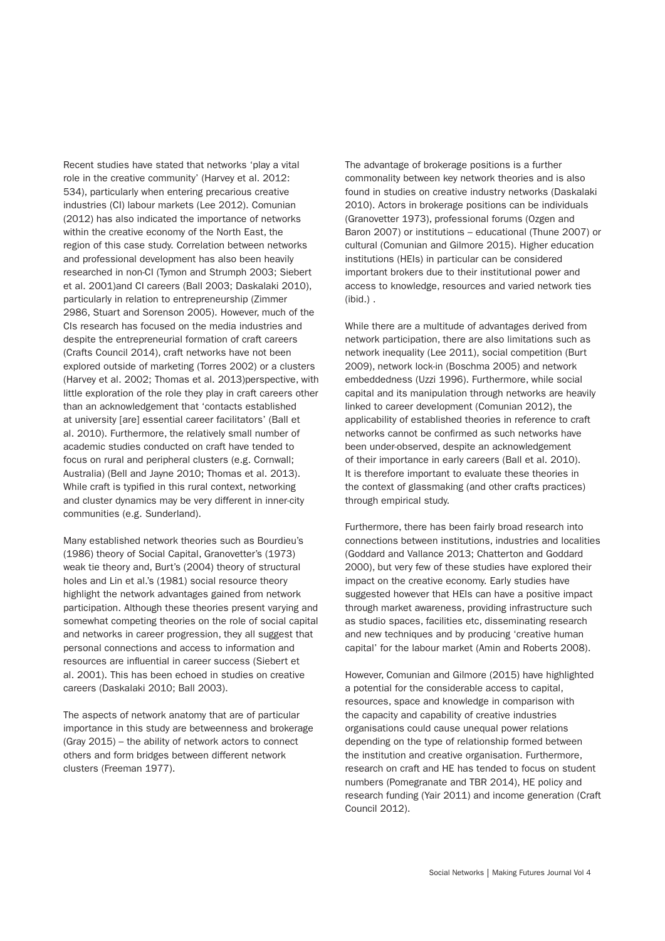Recent studies have stated that networks 'play a vital role in the creative community' (Harvey et al. 2012: 534), particularly when entering precarious creative industries (CI) labour markets (Lee 2012). Comunian (2012) has also indicated the importance of networks within the creative economy of the North East, the region of this case study. Correlation between networks and professional development has also been heavily researched in non-CI (Tymon and Strumph 2003; Siebert et al. 2001)and CI careers (Ball 2003; Daskalaki 2010), particularly in relation to entrepreneurship (Zimmer 2986, Stuart and Sorenson 2005). However, much of the CIs research has focused on the media industries and despite the entrepreneurial formation of craft careers (Crafts Council 2014), craft networks have not been explored outside of marketing (Torres 2002) or a clusters (Harvey et al. 2002; Thomas et al. 2013)perspective, with little exploration of the role they play in craft careers other than an acknowledgement that 'contacts established at university [are] essential career facilitators' (Ball et al. 2010). Furthermore, the relatively small number of academic studies conducted on craft have tended to focus on rural and peripheral clusters (e.g. Cornwall; Australia) (Bell and Jayne 2010; Thomas et al. 2013). While craft is typified in this rural context, networking and cluster dynamics may be very different in inner-city communities (e.g. Sunderland).

Many established network theories such as Bourdieu's (1986) theory of Social Capital, Granovetter's (1973) weak tie theory and, Burt's (2004) theory of structural holes and Lin et al.'s (1981) social resource theory highlight the network advantages gained from network participation. Although these theories present varying and somewhat competing theories on the role of social capital and networks in career progression, they all suggest that personal connections and access to information and resources are influential in career success (Siebert et al. 2001). This has been echoed in studies on creative careers (Daskalaki 2010; Ball 2003).

The aspects of network anatomy that are of particular importance in this study are betweenness and brokerage (Gray 2015) – the ability of network actors to connect others and form bridges between different network clusters (Freeman 1977).

The advantage of brokerage positions is a further commonality between key network theories and is also found in studies on creative industry networks (Daskalaki 2010). Actors in brokerage positions can be individuals (Granovetter 1973), professional forums (Ozgen and Baron 2007) or institutions – educational (Thune 2007) or cultural (Comunian and Gilmore 2015). Higher education institutions (HEIs) in particular can be considered important brokers due to their institutional power and access to knowledge, resources and varied network ties (ibid.) .

While there are a multitude of advantages derived from network participation, there are also limitations such as network inequality (Lee 2011), social competition (Burt 2009), network lock-in (Boschma 2005) and network embeddedness (Uzzi 1996). Furthermore, while social capital and its manipulation through networks are heavily linked to career development (Comunian 2012), the applicability of established theories in reference to craft networks cannot be confirmed as such networks have been under-observed, despite an acknowledgement of their importance in early careers (Ball et al. 2010). It is therefore important to evaluate these theories in the context of glassmaking (and other crafts practices) through empirical study.

Furthermore, there has been fairly broad research into connections between institutions, industries and localities (Goddard and Vallance 2013; Chatterton and Goddard 2000), but very few of these studies have explored their impact on the creative economy. Early studies have suggested however that HEIs can have a positive impact through market awareness, providing infrastructure such as studio spaces, facilities etc, disseminating research and new techniques and by producing 'creative human capital' for the labour market (Amin and Roberts 2008).

However, Comunian and Gilmore (2015) have highlighted a potential for the considerable access to capital, resources, space and knowledge in comparison with the capacity and capability of creative industries organisations could cause unequal power relations depending on the type of relationship formed between the institution and creative organisation. Furthermore, research on craft and HE has tended to focus on student numbers (Pomegranate and TBR 2014), HE policy and research funding (Yair 2011) and income generation (Craft Council 2012).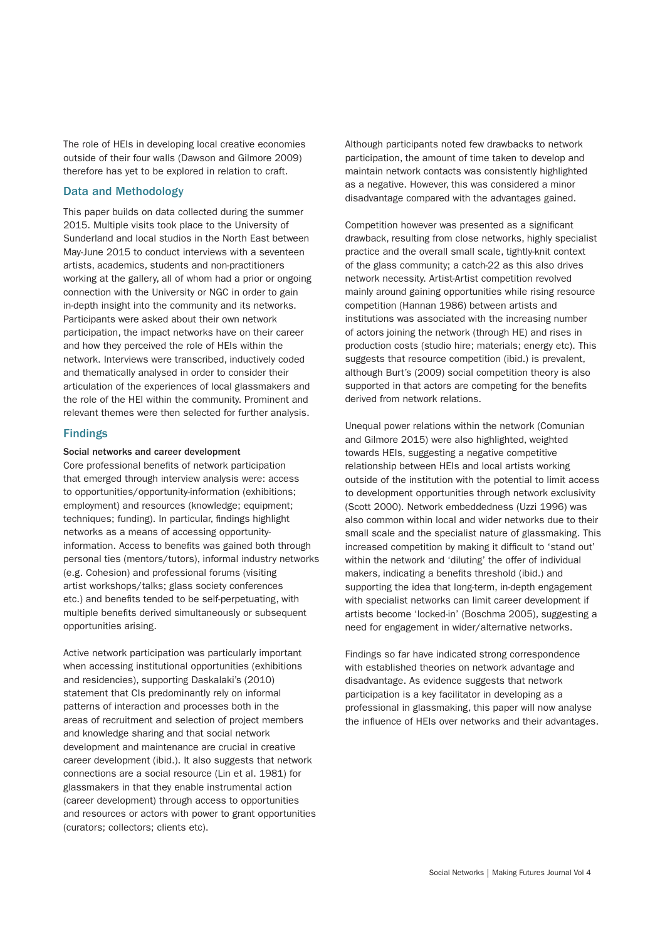The role of HEIs in developing local creative economies outside of their four walls (Dawson and Gilmore 2009) therefore has yet to be explored in relation to craft.

## Data and Methodology

This paper builds on data collected during the summer 2015. Multiple visits took place to the University of Sunderland and local studios in the North East between May-June 2015 to conduct interviews with a seventeen artists, academics, students and non-practitioners working at the gallery, all of whom had a prior or ongoing connection with the University or NGC in order to gain in-depth insight into the community and its networks. Participants were asked about their own network participation, the impact networks have on their career and how they perceived the role of HEIs within the network. Interviews were transcribed, inductively coded and thematically analysed in order to consider their articulation of the experiences of local glassmakers and the role of the HEI within the community. Prominent and relevant themes were then selected for further analysis.

#### Findings

#### Social networks and career development

Core professional benefits of network participation that emerged through interview analysis were: access to opportunities/opportunity-information (exhibitions; employment) and resources (knowledge; equipment; techniques; funding). In particular, findings highlight networks as a means of accessing opportunityinformation. Access to benefits was gained both through personal ties (mentors/tutors), informal industry networks (e.g. Cohesion) and professional forums (visiting artist workshops/talks; glass society conferences etc.) and benefits tended to be self-perpetuating, with multiple benefits derived simultaneously or subsequent opportunities arising.

Active network participation was particularly important when accessing institutional opportunities (exhibitions and residencies), supporting Daskalaki's (2010) statement that CIs predominantly rely on informal patterns of interaction and processes both in the areas of recruitment and selection of project members and knowledge sharing and that social network development and maintenance are crucial in creative career development (ibid.). It also suggests that network connections are a social resource (Lin et al. 1981) for glassmakers in that they enable instrumental action (career development) through access to opportunities and resources or actors with power to grant opportunities (curators; collectors; clients etc).

Although participants noted few drawbacks to network participation, the amount of time taken to develop and maintain network contacts was consistently highlighted as a negative. However, this was considered a minor disadvantage compared with the advantages gained.

Competition however was presented as a significant drawback, resulting from close networks, highly specialist practice and the overall small scale, tightly-knit context of the glass community; a catch-22 as this also drives network necessity. Artist-Artist competition revolved mainly around gaining opportunities while rising resource competition (Hannan 1986) between artists and institutions was associated with the increasing number of actors joining the network (through HE) and rises in production costs (studio hire; materials; energy etc). This suggests that resource competition (ibid.) is prevalent, although Burt's (2009) social competition theory is also supported in that actors are competing for the benefits derived from network relations.

Unequal power relations within the network (Comunian and Gilmore 2015) were also highlighted, weighted towards HEIs, suggesting a negative competitive relationship between HEIs and local artists working outside of the institution with the potential to limit access to development opportunities through network exclusivity (Scott 2000). Network embeddedness (Uzzi 1996) was also common within local and wider networks due to their small scale and the specialist nature of glassmaking. This increased competition by making it difficult to 'stand out' within the network and 'diluting' the offer of individual makers, indicating a benefits threshold (ibid.) and supporting the idea that long-term, in-depth engagement with specialist networks can limit career development if artists become 'locked-in' (Boschma 2005), suggesting a need for engagement in wider/alternative networks.

Findings so far have indicated strong correspondence with established theories on network advantage and disadvantage. As evidence suggests that network participation is a key facilitator in developing as a professional in glassmaking, this paper will now analyse the influence of HEIs over networks and their advantages.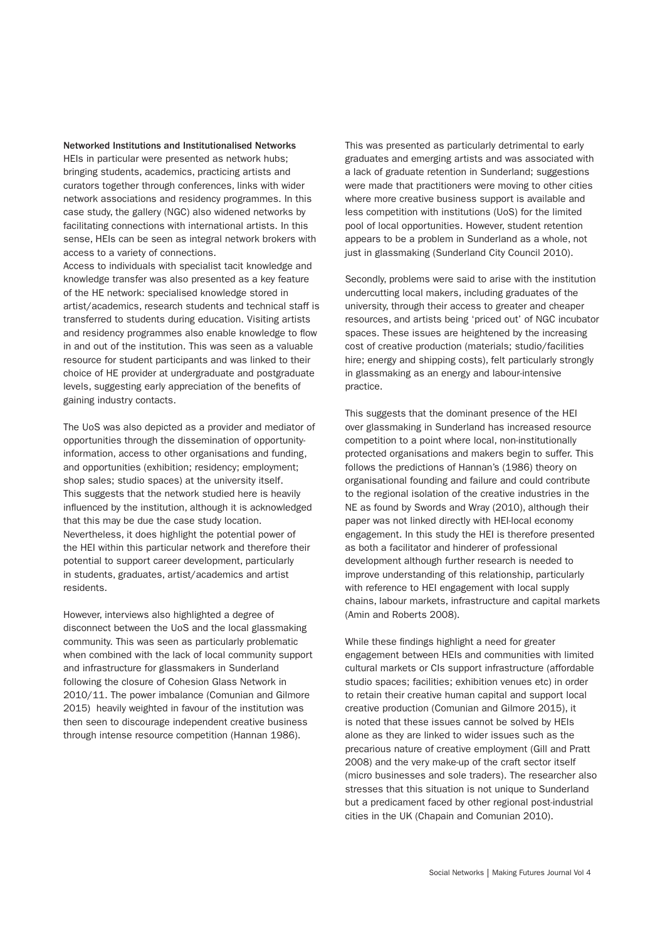Networked Institutions and Institutionalised Networks HEIs in particular were presented as network hubs; bringing students, academics, practicing artists and curators together through conferences, links with wider network associations and residency programmes. In this case study, the gallery (NGC) also widened networks by facilitating connections with international artists. In this sense, HEIs can be seen as integral network brokers with access to a variety of connections.

Access to individuals with specialist tacit knowledge and knowledge transfer was also presented as a key feature of the HE network: specialised knowledge stored in artist/academics, research students and technical staff is transferred to students during education. Visiting artists and residency programmes also enable knowledge to flow in and out of the institution. This was seen as a valuable resource for student participants and was linked to their choice of HE provider at undergraduate and postgraduate levels, suggesting early appreciation of the benefits of gaining industry contacts.

The UoS was also depicted as a provider and mediator of opportunities through the dissemination of opportunityinformation, access to other organisations and funding, and opportunities (exhibition; residency; employment; shop sales; studio spaces) at the university itself. This suggests that the network studied here is heavily influenced by the institution, although it is acknowledged that this may be due the case study location. Nevertheless, it does highlight the potential power of the HEI within this particular network and therefore their potential to support career development, particularly in students, graduates, artist/academics and artist residents.

However, interviews also highlighted a degree of disconnect between the UoS and the local glassmaking community. This was seen as particularly problematic when combined with the lack of local community support and infrastructure for glassmakers in Sunderland following the closure of Cohesion Glass Network in 2010/11. The power imbalance (Comunian and Gilmore 2015) heavily weighted in favour of the institution was then seen to discourage independent creative business through intense resource competition (Hannan 1986).

This was presented as particularly detrimental to early graduates and emerging artists and was associated with a lack of graduate retention in Sunderland; suggestions were made that practitioners were moving to other cities where more creative business support is available and less competition with institutions (UoS) for the limited pool of local opportunities. However, student retention appears to be a problem in Sunderland as a whole, not just in glassmaking (Sunderland City Council 2010).

Secondly, problems were said to arise with the institution undercutting local makers, including graduates of the university, through their access to greater and cheaper resources, and artists being 'priced out' of NGC incubator spaces. These issues are heightened by the increasing cost of creative production (materials; studio/facilities hire; energy and shipping costs), felt particularly strongly in glassmaking as an energy and labour-intensive practice.

This suggests that the dominant presence of the HEI over glassmaking in Sunderland has increased resource competition to a point where local, non-institutionally protected organisations and makers begin to suffer. This follows the predictions of Hannan's (1986) theory on organisational founding and failure and could contribute to the regional isolation of the creative industries in the NE as found by Swords and Wray (2010), although their paper was not linked directly with HEI-local economy engagement. In this study the HEI is therefore presented as both a facilitator and hinderer of professional development although further research is needed to improve understanding of this relationship, particularly with reference to HEI engagement with local supply chains, labour markets, infrastructure and capital markets (Amin and Roberts 2008).

While these findings highlight a need for greater engagement between HEIs and communities with limited cultural markets or CIs support infrastructure (affordable studio spaces; facilities; exhibition venues etc) in order to retain their creative human capital and support local creative production (Comunian and Gilmore 2015), it is noted that these issues cannot be solved by HEIs alone as they are linked to wider issues such as the precarious nature of creative employment (Gill and Pratt 2008) and the very make-up of the craft sector itself (micro businesses and sole traders). The researcher also stresses that this situation is not unique to Sunderland but a predicament faced by other regional post-industrial cities in the UK (Chapain and Comunian 2010).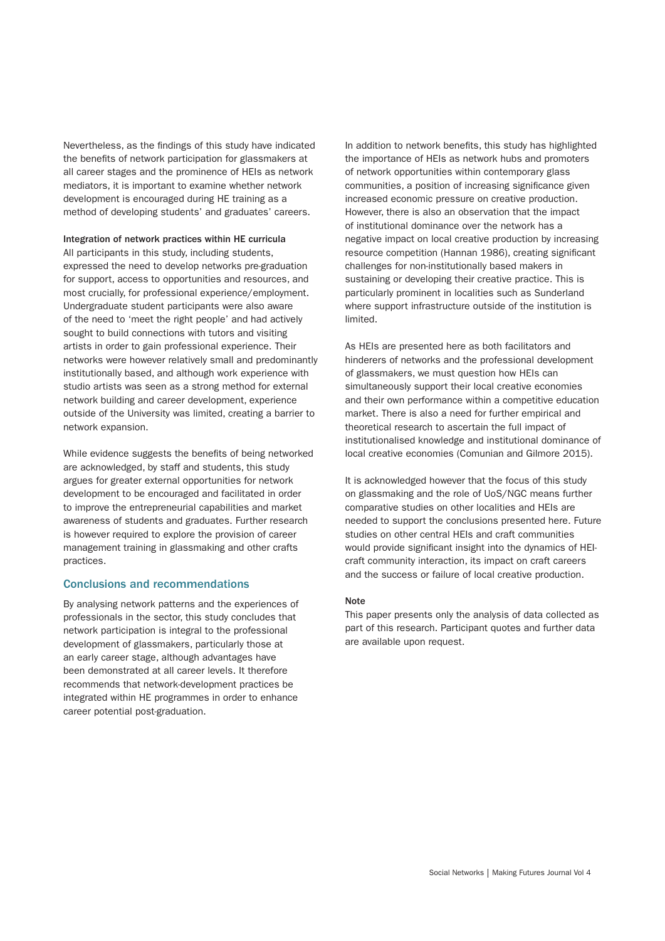Nevertheless, as the findings of this study have indicated the benefits of network participation for glassmakers at all career stages and the prominence of HEIs as network mediators, it is important to examine whether network development is encouraged during HE training as a method of developing students' and graduates' careers.

Integration of network practices within HE curricula All participants in this study, including students, expressed the need to develop networks pre-graduation for support, access to opportunities and resources, and most crucially, for professional experience/employment. Undergraduate student participants were also aware of the need to 'meet the right people' and had actively sought to build connections with tutors and visiting artists in order to gain professional experience. Their networks were however relatively small and predominantly institutionally based, and although work experience with studio artists was seen as a strong method for external network building and career development, experience outside of the University was limited, creating a barrier to network expansion.

While evidence suggests the benefits of being networked are acknowledged, by staff and students, this study argues for greater external opportunities for network development to be encouraged and facilitated in order to improve the entrepreneurial capabilities and market awareness of students and graduates. Further research is however required to explore the provision of career management training in glassmaking and other crafts practices.

#### Conclusions and recommendations

By analysing network patterns and the experiences of professionals in the sector, this study concludes that network participation is integral to the professional development of glassmakers, particularly those at an early career stage, although advantages have been demonstrated at all career levels. It therefore recommends that network-development practices be integrated within HE programmes in order to enhance career potential post-graduation.

In addition to network benefits, this study has highlighted the importance of HEIs as network hubs and promoters of network opportunities within contemporary glass communities, a position of increasing significance given increased economic pressure on creative production. However, there is also an observation that the impact of institutional dominance over the network has a negative impact on local creative production by increasing resource competition (Hannan 1986), creating significant challenges for non-institutionally based makers in sustaining or developing their creative practice. This is particularly prominent in localities such as Sunderland where support infrastructure outside of the institution is limited.

As HEIs are presented here as both facilitators and hinderers of networks and the professional development of glassmakers, we must question how HEIs can simultaneously support their local creative economies and their own performance within a competitive education market. There is also a need for further empirical and theoretical research to ascertain the full impact of institutionalised knowledge and institutional dominance of local creative economies (Comunian and Gilmore 2015).

It is acknowledged however that the focus of this study on glassmaking and the role of UoS/NGC means further comparative studies on other localities and HEIs are needed to support the conclusions presented here. Future studies on other central HEIs and craft communities would provide significant insight into the dynamics of HEIcraft community interaction, its impact on craft careers and the success or failure of local creative production.

#### Note

This paper presents only the analysis of data collected as part of this research. Participant quotes and further data are available upon request.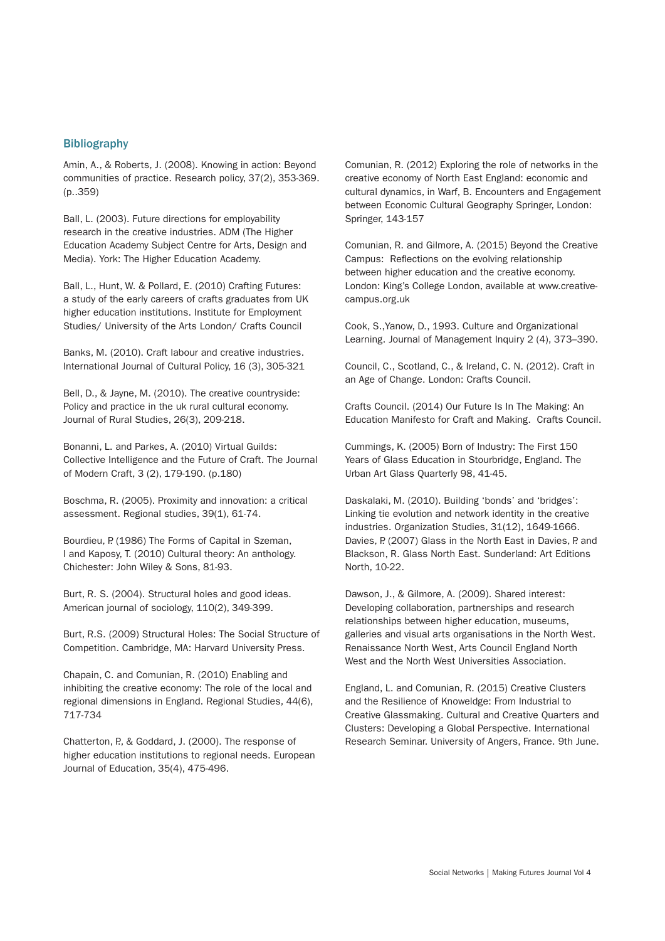### **Bibliography**

Amin, A., & Roberts, J. (2008). Knowing in action: Beyond communities of practice. Research policy, 37(2), 353-369. (p..359)

Ball, L. (2003). Future directions for employability research in the creative industries. ADM (The Higher Education Academy Subject Centre for Arts, Design and Media). York: The Higher Education Academy.

Ball, L., Hunt, W. & Pollard, E. (2010) Crafting Futures: a study of the early careers of crafts graduates from UK higher education institutions. Institute for Employment Studies/ University of the Arts London/ Crafts Council

Banks, M. (2010). Craft labour and creative industries. International Journal of Cultural Policy, 16 (3), 305-321

Bell, D., & Jayne, M. (2010). The creative countryside: Policy and practice in the uk rural cultural economy. Journal of Rural Studies, 26(3), 209-218.

Bonanni, L. and Parkes, A. (2010) Virtual Guilds: Collective Intelligence and the Future of Craft. The Journal of Modern Craft, 3 (2), 179-190. (p.180)

Boschma, R. (2005). Proximity and innovation: a critical assessment. Regional studies, 39(1), 61-74.

Bourdieu, P. (1986) The Forms of Capital in Szeman, I and Kaposy, T. (2010) Cultural theory: An anthology. Chichester: John Wiley & Sons, 81-93.

Burt, R. S. (2004). Structural holes and good ideas. American journal of sociology, 110(2), 349-399.

Burt, R.S. (2009) Structural Holes: The Social Structure of Competition. Cambridge, MA: Harvard University Press.

Chapain, C. and Comunian, R. (2010) Enabling and inhibiting the creative economy: The role of the local and regional dimensions in England. Regional Studies, 44(6), 717-734

Chatterton, P., & Goddard, J. (2000). The response of higher education institutions to regional needs. European Journal of Education, 35(4), 475-496.

Comunian, R. (2012) Exploring the role of networks in the creative economy of North East England: economic and cultural dynamics, in Warf, B. Encounters and Engagement between Economic Cultural Geography Springer, London: Springer, 143-157

Comunian, R. and Gilmore, A. (2015) Beyond the Creative Campus: Reflections on the evolving relationship between higher education and the creative economy. London: King's College London, available at www.creativecampus.org.uk

Cook, S.,Yanow, D., 1993. Culture and Organizational Learning. Journal of Management Inquiry 2 (4), 373–390.

Council, C., Scotland, C., & Ireland, C. N. (2012). Craft in an Age of Change. London: Crafts Council.

Crafts Council. (2014) Our Future Is In The Making: An Education Manifesto for Craft and Making. Crafts Council.

Cummings, K. (2005) Born of Industry: The First 150 Years of Glass Education in Stourbridge, England. The Urban Art Glass Quarterly 98, 41-45.

Daskalaki, M. (2010). Building 'bonds' and 'bridges': Linking tie evolution and network identity in the creative industries. Organization Studies, 31(12), 1649-1666. Davies, P. (2007) Glass in the North East in Davies, P. and Blackson, R. Glass North East. Sunderland: Art Editions North, 10-22.

Dawson, J., & Gilmore, A. (2009). Shared interest: Developing collaboration, partnerships and research relationships between higher education, museums, galleries and visual arts organisations in the North West. Renaissance North West, Arts Council England North West and the North West Universities Association.

England, L. and Comunian, R. (2015) Creative Clusters and the Resilience of Knoweldge: From Industrial to Creative Glassmaking. Cultural and Creative Quarters and Clusters: Developing a Global Perspective. International Research Seminar. University of Angers, France. 9th June.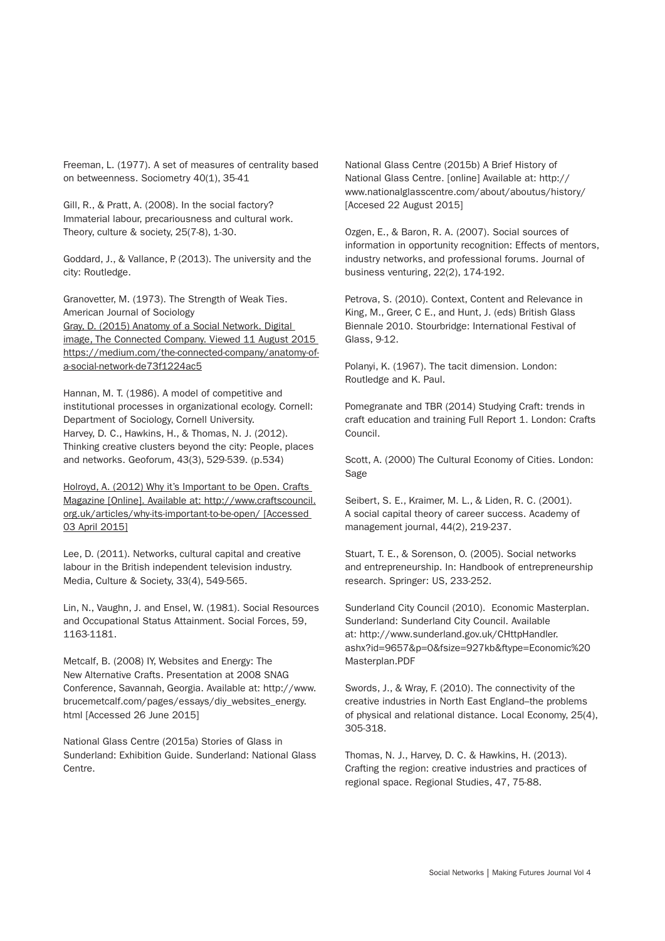Freeman, L. (1977). A set of measures of centrality based on betweenness. Sociometry 40(1), 35-41

Gill, R., & Pratt, A. (2008). In the social factory? Immaterial labour, precariousness and cultural work. Theory, culture & society, 25(7-8), 1-30.

Goddard, J., & Vallance, P. (2013). The university and the city: Routledge.

Granovetter, M. (1973). The Strength of Weak Ties. American Journal of Sociology Gray, D. (2015) Anatomy of a Social Network. Digital image, The Connected Company. Viewed 11 August 2015 https://medium.com/the-connected-company/anatomy-ofa-social-network-de73f1224ac5

Hannan, M. T. (1986). A model of competitive and institutional processes in organizational ecology. Cornell: Department of Sociology, Cornell University. Harvey, D. C., Hawkins, H., & Thomas, N. J. (2012). Thinking creative clusters beyond the city: People, places and networks. Geoforum, 43(3), 529-539. (p.534)

Holroyd, A. (2012) Why it's Important to be Open. Crafts Magazine [Online]. Available at: http://www.craftscouncil. org.uk/articles/why-its-important-to-be-open/ [Accessed 03 April 2015]

Lee, D. (2011). Networks, cultural capital and creative labour in the British independent television industry. Media, Culture & Society, 33(4), 549-565.

Lin, N., Vaughn, J. and Ensel, W. (1981). Social Resources and Occupational Status Attainment. Social Forces, 59, 1163-1181.

Metcalf, B. (2008) IY, Websites and Energy: The New Alternative Crafts. Presentation at 2008 SNAG Conference, Savannah, Georgia. Available at: http://www. brucemetcalf.com/pages/essays/diy\_websites\_energy. html [Accessed 26 June 2015]

National Glass Centre (2015a) Stories of Glass in Sunderland: Exhibition Guide. Sunderland: National Glass Centre.

National Glass Centre (2015b) A Brief History of National Glass Centre. [online] Available at: http:// www.nationalglasscentre.com/about/aboutus/history/ [Accesed 22 August 2015]

Ozgen, E., & Baron, R. A. (2007). Social sources of information in opportunity recognition: Effects of mentors, industry networks, and professional forums. Journal of business venturing, 22(2), 174-192.

Petrova, S. (2010). Context, Content and Relevance in King, M., Greer, C E., and Hunt, J. (eds) British Glass Biennale 2010. Stourbridge: International Festival of Glass, 9-12.

Polanyi, K. (1967). The tacit dimension. London: Routledge and K. Paul.

Pomegranate and TBR (2014) Studying Craft: trends in craft education and training Full Report 1. London: Crafts Council.

Scott, A. (2000) The Cultural Economy of Cities. London: Sage

Seibert, S. E., Kraimer, M. L., & Liden, R. C. (2001). A social capital theory of career success. Academy of management journal, 44(2), 219-237.

Stuart, T. E., & Sorenson, O. (2005). Social networks and entrepreneurship. In: Handbook of entrepreneurship research. Springer: US, 233-252.

Sunderland City Council (2010). Economic Masterplan. Sunderland: Sunderland City Council. Available at: http://www.sunderland.gov.uk/CHttpHandler. ashx?id=9657&p=0&fsize=927kb&ftype=Economic%20 Masterplan.PDF

Swords, J., & Wray, F. (2010). The connectivity of the creative industries in North East England–the problems of physical and relational distance. Local Economy, 25(4), 305-318.

Thomas, N. J., Harvey, D. C. & Hawkins, H. (2013). Crafting the region: creative industries and practices of regional space. Regional Studies, 47, 75-88.